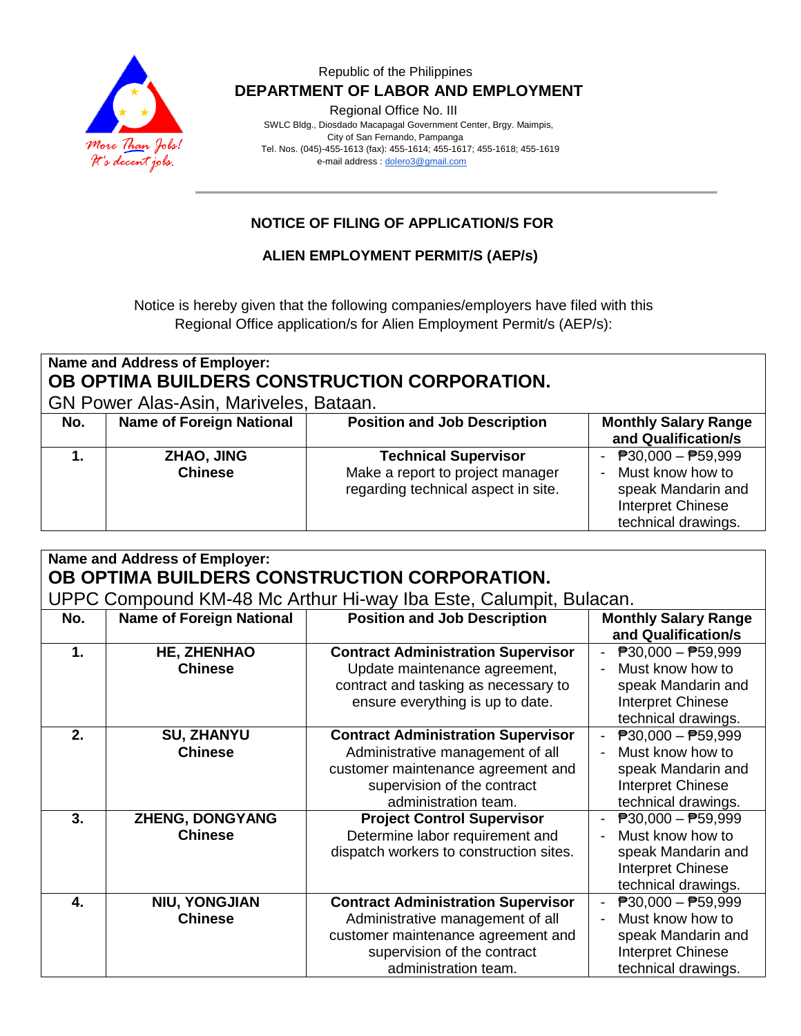

#### Republic of the Philippines  **DEPARTMENT OF LABOR AND EMPLOYMENT**

Regional Office No. III

 SWLC Bldg., Diosdado Macapagal Government Center, Brgy. Maimpis, City of San Fernando, Pampanga Tel. Nos. (045)-455-1613 (fax): 455-1614; 455-1617; 455-1618; 455-1619 e-mail address [: dolero3@gmail.com](mailto:dolero3@gmail.com)

### **NOTICE OF FILING OF APPLICATION/S FOR**

#### **ALIEN EMPLOYMENT PERMIT/S (AEP/s)**

Notice is hereby given that the following companies/employers have filed with this Regional Office application/s for Alien Employment Permit/s (AEP/s):

| Name and Address of Employer:<br>OB OPTIMA BUILDERS CONSTRUCTION CORPORATION.<br><b>GN Power Alas-Asin, Mariveles, Bataan.</b> |                                 |                                                                                                        |                                                                                                                                 |  |  |  |
|--------------------------------------------------------------------------------------------------------------------------------|---------------------------------|--------------------------------------------------------------------------------------------------------|---------------------------------------------------------------------------------------------------------------------------------|--|--|--|
| No.                                                                                                                            | <b>Name of Foreign National</b> | <b>Position and Job Description</b>                                                                    | <b>Monthly Salary Range</b><br>and Qualification/s                                                                              |  |  |  |
|                                                                                                                                | ZHAO, JING<br><b>Chinese</b>    | <b>Technical Supervisor</b><br>Make a report to project manager<br>regarding technical aspect in site. | $\overline{P}30,000 - \overline{P}59,999$<br>Must know how to<br>speak Mandarin and<br>Interpret Chinese<br>technical drawings. |  |  |  |

| Name and Address of Employer:<br>OB OPTIMA BUILDERS CONSTRUCTION CORPORATION. |                                          |                                                                                                                                                                            |                                                                                                                                                   |  |  |  |
|-------------------------------------------------------------------------------|------------------------------------------|----------------------------------------------------------------------------------------------------------------------------------------------------------------------------|---------------------------------------------------------------------------------------------------------------------------------------------------|--|--|--|
| UPPC Compound KM-48 Mc Arthur Hi-way Iba Este, Calumpit, Bulacan.             |                                          |                                                                                                                                                                            |                                                                                                                                                   |  |  |  |
| No.                                                                           | <b>Name of Foreign National</b>          | <b>Position and Job Description</b>                                                                                                                                        | <b>Monthly Salary Range</b><br>and Qualification/s                                                                                                |  |  |  |
| $\mathbf 1$ .                                                                 | <b>HE, ZHENHAO</b><br><b>Chinese</b>     | <b>Contract Administration Supervisor</b><br>Update maintenance agreement,<br>contract and tasking as necessary to<br>ensure everything is up to date.                     | $\overline{P}30,000 - \overline{P}59,999$<br>Must know how to<br>speak Mandarin and<br><b>Interpret Chinese</b><br>technical drawings.            |  |  |  |
| 2.                                                                            | <b>SU, ZHANYU</b><br><b>Chinese</b>      | <b>Contract Administration Supervisor</b><br>Administrative management of all<br>customer maintenance agreement and<br>supervision of the contract<br>administration team. | $\overline{P}30,000 - \overline{P}59,999$<br>Must know how to<br>$\blacksquare$<br>speak Mandarin and<br>Interpret Chinese<br>technical drawings. |  |  |  |
| 3.                                                                            | <b>ZHENG, DONGYANG</b><br><b>Chinese</b> | <b>Project Control Supervisor</b><br>Determine labor requirement and<br>dispatch workers to construction sites.                                                            | $\overline{P}30,000 - \overline{P}59,999$<br>Must know how to<br>speak Mandarin and<br>Interpret Chinese<br>technical drawings.                   |  |  |  |
| $\mathbf{4}$                                                                  | <b>NIU, YONGJIAN</b><br><b>Chinese</b>   | <b>Contract Administration Supervisor</b><br>Administrative management of all<br>customer maintenance agreement and<br>supervision of the contract<br>administration team. | $\overline{P}30,000 - \overline{P}59,999$<br>Must know how to<br>speak Mandarin and<br>Interpret Chinese<br>technical drawings.                   |  |  |  |